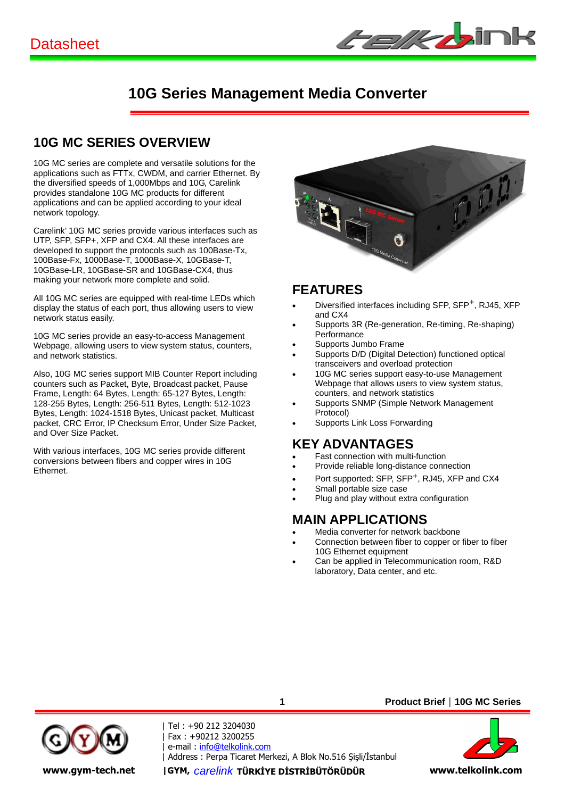

### **10G MC SERIES OVERVIEW**

10G MC series are complete and versatile solutions for the applications such as FTTx, CWDM, and carrier Ethernet. By the diversified speeds of 1,000Mbps and 10G, Carelink provides standalone 10G MC products for different applications and can be applied according to your ideal network topology.

Carelink' 10G MC series provide various interfaces such as UTP, SFP, SFP+, XFP and CX4. All these interfaces are developed to support the protocols such as 100Base-Tx, 100Base-Fx, 1000Base-T, 1000Base-X, 10GBase-T, 10GBase-LR, 10GBase-SR and 10GBase-CX4, thus making your network more complete and solid.

All 10G MC series are equipped with real-time LEDs which display the status of each port, thus allowing users to view network status easily.

10G MC series provide an easy-to-access Management Webpage, allowing users to view system status, counters, and network statistics.

Also, 10G MC series support MIB Counter Report including counters such as Packet, Byte, Broadcast packet, Pause Frame, Length: 64 Bytes, Length: 65-127 Bytes, Length: 128-255 Bytes, Length: 256-511 Bytes, Length: 512-1023 Bytes, Length: 1024-1518 Bytes, Unicast packet, Multicast packet, CRC Error, IP Checksum Error, Under Size Packet, and Over Size Packet.

With various interfaces, 10G MC series provide different conversions between fibers and copper wires in 10G Ethernet.



#### **FEATURES**

- Diversified interfaces including SFP, SFP+, RJ45, XFP and CX4
- Supports 3R (Re-generation, Re-timing, Re-shaping) **Performance**
- Supports Jumbo Frame
- Supports D/D (Digital Detection) functioned optical transceivers and overload protection
- 10G MC series support easy-to-use Management Webpage that allows users to view system status, counters, and network statistics
- Supports SNMP (Simple Network Management Protocol)
- Supports Link Loss Forwarding

### **KEY ADVANTAGES**

- Fast connection with multi-function
- Provide reliable long-distance connection
- Port supported: SFP, SFP<sup>+</sup>, RJ45, XFP and CX4
- Small portable size case
- Plug and play without extra configuration

### **MAIN APPLICATIONS**

- Media converter for network backbone
- Connection between fiber to copper or fiber to fiber 10G Ethernet equipment
- Can be applied in Telecommunication room, R&D laboratory, Data center, and etc.



| Tel : +90 212 3204030 | Fax : +90212 3200255 | e-mail : info@telkolink.com | Address : Perpa Ticaret Merkezi, A Blok No.516 Şişli/İstanbul **www.gym-tech.net |GYM,** *carelink* **TÜRKĐYE DĐSTRĐBÜTÖRÜDÜR www.telkolink.com**

**1**

**Product Brief**|**10G MC Series**

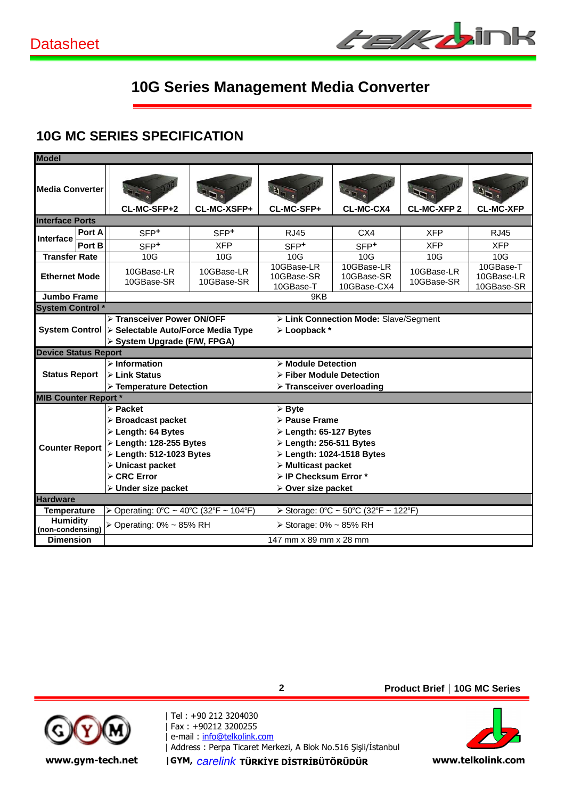

### **10G MC SERIES SPECIFICATION**

| <b>Model</b>                                                                                                    |        |                                                              |                          |                                                       |                                         |                          |                                       |  |  |  |
|-----------------------------------------------------------------------------------------------------------------|--------|--------------------------------------------------------------|--------------------------|-------------------------------------------------------|-----------------------------------------|--------------------------|---------------------------------------|--|--|--|
| Media Converter                                                                                                 |        | CL-MC-SFP+2                                                  | CL-MC-XSFP+              | CL-MC-SFP+                                            | CL-MC-CX4                               | <b>CL-MC-XFP 2</b>       | <b>CL-MC-XFP</b>                      |  |  |  |
| <b>Interface Ports</b>                                                                                          |        |                                                              |                          |                                                       |                                         |                          |                                       |  |  |  |
| Interface                                                                                                       | Port A | SFP <sup>+</sup>                                             | SFP <sup>+</sup>         | <b>RJ45</b>                                           | CX4                                     | <b>XFP</b>               | <b>RJ45</b>                           |  |  |  |
|                                                                                                                 | Port B | SFP <sup>+</sup>                                             | <b>XFP</b>               | SFP <sup>+</sup>                                      | SFP <sup>+</sup>                        | <b>XFP</b>               | <b>XFP</b>                            |  |  |  |
| <b>Transfer Rate</b>                                                                                            |        | 10G                                                          | 10G                      | 10G                                                   | 10G                                     | 10G                      | 10G                                   |  |  |  |
| <b>Ethernet Mode</b>                                                                                            |        | 10GBase-LR<br>10GBase-SR                                     | 10GBase-LR<br>10GBase-SR | 10GBase-LR<br>10GBase-SR<br>10GBase-T                 | 10GBase-LR<br>10GBase-SR<br>10GBase-CX4 | 10GBase-LR<br>10GBase-SR | 10GBase-T<br>10GBase-LR<br>10GBase-SR |  |  |  |
| <b>Jumbo Frame</b><br>9KB                                                                                       |        |                                                              |                          |                                                       |                                         |                          |                                       |  |  |  |
| <b>System Control</b> *                                                                                         |        |                                                              |                          |                                                       |                                         |                          |                                       |  |  |  |
| > Transceiver Power ON/OFF<br>System Control > Selectable Auto/Force Media Type<br>> System Upgrade (F/W, FPGA) |        |                                                              |                          | > Link Connection Mode: Slave/Segment<br>> Loopback * |                                         |                          |                                       |  |  |  |
| <b>Device Status Report</b>                                                                                     |        |                                                              |                          |                                                       |                                         |                          |                                       |  |  |  |
| <b>Status Report</b>                                                                                            |        | $\triangleright$ Information<br>$\triangleright$ Link Status |                          | > Module Detection<br>> Fiber Module Detection        |                                         |                          |                                       |  |  |  |
|                                                                                                                 |        | > Temperature Detection                                      |                          | $\triangleright$ Transceiver overloading              |                                         |                          |                                       |  |  |  |
| <b>MIB Counter Report *</b>                                                                                     |        |                                                              |                          |                                                       |                                         |                          |                                       |  |  |  |
|                                                                                                                 |        | $\triangleright$ Packet                                      |                          | $\triangleright$ Byte                                 |                                         |                          |                                       |  |  |  |
|                                                                                                                 |        | $\triangleright$ Broadcast packet                            |                          | > Pause Frame                                         |                                         |                          |                                       |  |  |  |
|                                                                                                                 |        | $\triangleright$ Length: 64 Bytes                            |                          | $\triangleright$ Length: 65-127 Bytes                 |                                         |                          |                                       |  |  |  |
| <b>Counter Report</b>                                                                                           |        | $\triangleright$ Length: 128-255 Bytes                       |                          |                                                       | $\triangleright$ Length: 256-511 Bytes  |                          |                                       |  |  |  |
|                                                                                                                 |        | > Length: 512-1023 Bytes                                     |                          | $\triangleright$ Length: 1024-1518 Bytes              |                                         |                          |                                       |  |  |  |
|                                                                                                                 |        | > Unicast packet<br>$\triangleright$ CRC Error               |                          | $\triangleright$ Multicast packet                     |                                         |                          |                                       |  |  |  |
|                                                                                                                 |        | > Under size packet                                          |                          | > IP Checksum Error *<br>> Over size packet           |                                         |                          |                                       |  |  |  |
| <b>Hardware</b>                                                                                                 |        |                                                              |                          |                                                       |                                         |                          |                                       |  |  |  |
| <b>Temperature</b>                                                                                              |        | > Operating: 0°C ~ 40°C (32°F ~ 104°F)                       |                          |                                                       | ≻ Storage: 0°C ~ 50°C (32°F ~ 122°F)    |                          |                                       |  |  |  |
| <b>Humidity</b><br>(non-condensing)                                                                             |        | $\triangleright$ Operating: 0% ~ 85% RH                      |                          | $\triangleright$ Storage: 0% ~ 85% RH                 |                                         |                          |                                       |  |  |  |
| <b>Dimension</b>                                                                                                |        |                                                              |                          | 147 mm x 89 mm x 28 mm                                |                                         |                          |                                       |  |  |  |



i

| Tel : +90 212 3204030 | Fax : +90212 3200255 | e-mail : <u>info@telkolink.com</u> | Address : Perpa Ticaret Merkezi, A Blok No.516 Şişli/Istanbul

**2**

**Product Brief**|**10G MC Series**

**www.gym-tech.net** |GYM, carelink TÜRKİYE DİSTRİBÜTÖRÜDÜR **www.telkolink.com** 

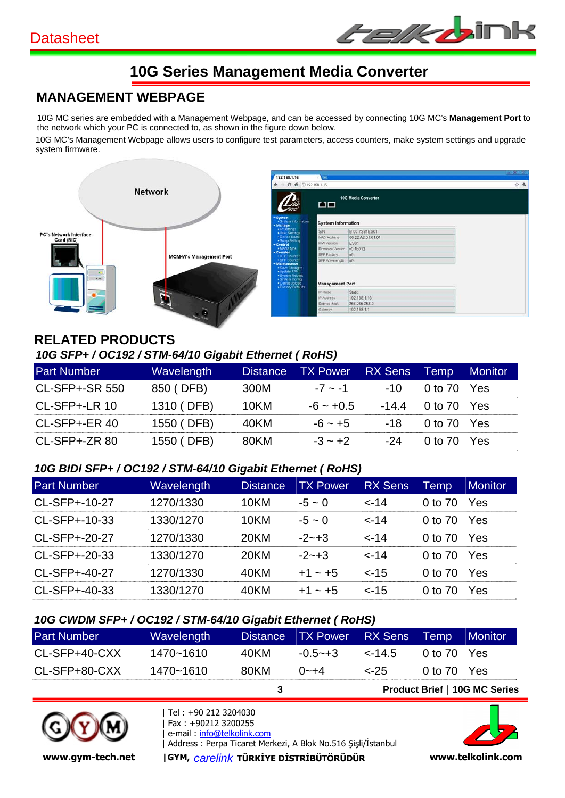

# **MANAGEMENT WEBPAGE**

10G MC series are embedded with a Management Webpage, and can be accessed by connecting 10G MC's **Management Port** to the network which your PC is connected to, as shown in the figure down below.

10G MC's Management Webpage allows users to configure test parameters, access counters, make system settings and upgrade system firmware.



#### **RELATED PRODUCTS**  *10G SFP+ / OC192 / STM-64/10 Gigabit Ethernet ( RoHS)*

| <b>Part Number</b>    | <b>Wavelength</b> | <b>Distance</b> | <b>TX Power</b> | <b>RX Sens</b> | Temp        | <b>Monitor</b> |
|-----------------------|-------------------|-----------------|-----------------|----------------|-------------|----------------|
| <b>CL-SFP+-SR 550</b> | 850 (DFB)         | 300M            | $-7 \sim -1$    | $-10^{-}$      | 0 to 70 Yes |                |
| $CL-SFP+-LR$ 10       | 1310 (DFB)        | 10KM            | $-6 - +0.5$     | -14.4          | 0 to 70 Yes |                |
| CL-SFP+-ER 40         | 1550 (DFB)        | 40KM            | $-6 - +5$       | -18            | 0 to 70 Yes |                |
| $CL-SFP+-ZR 80$       | 1550 (DFB)        | 80KM            | $-3 - +2$       | -24            | 0 to 70 Yes |                |

#### *10G BIDI SFP+ / OC192 / STM-64/10 Gigabit Ethernet ( RoHS)*

| <b>Part Number</b> | <b>Wavelength</b> | <b>Distance</b> | <b>TX Power</b> | <b>RX Sens</b> | Temp    | <b>Monitor</b> |
|--------------------|-------------------|-----------------|-----------------|----------------|---------|----------------|
| CL-SFP+-10-27      | 1270/1330         | 10KM            | $-5 - 0$        | $< -14$        | 0 to 70 | Yes            |
| CL-SFP+-10-33      | 1330/1270         | 10KM            | $-5 - 0$        | $< -14$        | 0 to 70 | Yes            |
| CL-SFP+-20-27      | 1270/1330         | 20KM            | $-2 - +3$       | $< -14$        | 0 to 70 | Yes            |
| CL-SFP+-20-33      | 1330/1270         | 20KM            | $-2 - +3$       | $< -14$        | 0 to 70 | Yes            |
| CL-SFP+-40-27      | 1270/1330         | 40KM            | $+1$ ~ $+5$     | $< -15$        | 0 to 70 | Yes            |
| CL-SFP+-40-33      | 1330/1270         | 40KM            | $+1$ ~ $+5$     | $< -15$        | 0 to 70 | Yes            |

#### *10G CWDM SFP+ / OC192 / STM-64/10 Gigabit Ethernet ( RoHS)*

| <b>Part Number</b> | Wavelength |      | Distance TX Power RX Sens Temp |             |             | <b>Monitor</b>                |
|--------------------|------------|------|--------------------------------|-------------|-------------|-------------------------------|
| CL-SFP+40-CXX      | 1470~1610  | 40KM | $-0.5 - +3$                    | $\leq$ 14.5 | 0 to 70 Yes |                               |
| CL-SFP+80-CXX      | 1470~1610  | 80KM | $0 - +4$                       | $2 - 25$    | 0 to 70 Yes |                               |
|                    |            |      |                                |             |             | Product Brief   10G MC Series |



ı

| Tel : +90 212 3204030 | Fax : +90212 3200255 | e-mail: info@telkolink.com | Address : Perpa Ticaret Merkezi, A Blok No.516 Şişli/İstanbul



**www.gym-tech.net |GYM, carelink TÜRKİYE DİSTRİBÜTÖRÜDÜR www.telkolink.com**